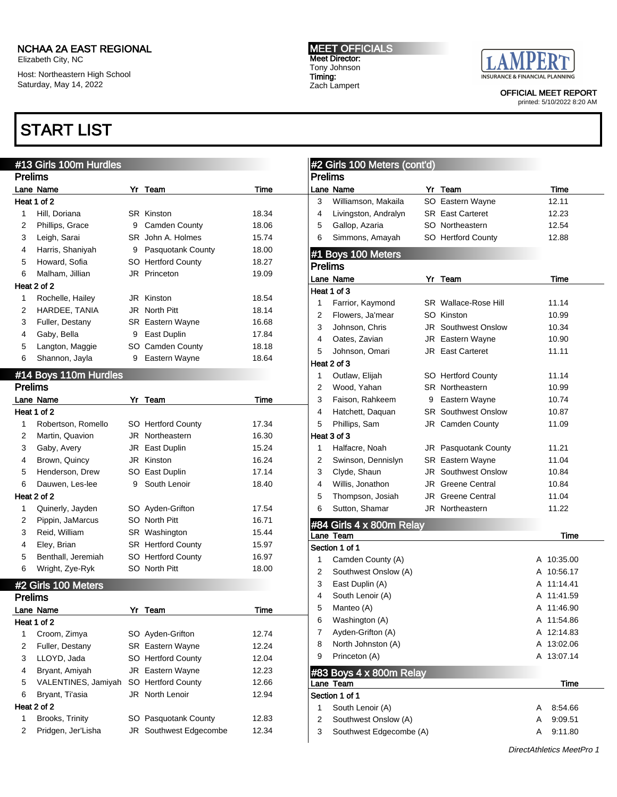Elizabeth City, NC Host: Northeastern High School Saturday, May 14, 2022

# START LIST

MEET OFFICIALS Meet Director: Tony Johnson Timing: Zach Lampert



OFFICIAL MEET REPORT

printed: 5/10/2022 8:20 AM

|                | #13 Girls 100m Hurdles |    |                         |       | #2 Girls 100 Met     |
|----------------|------------------------|----|-------------------------|-------|----------------------|
| <b>Prelims</b> |                        |    |                         |       | <b>Prelims</b>       |
|                | Lane Name              |    | Yr Team                 | Time  | Lane Name            |
|                | Heat 1 of 2            |    |                         |       | Williamson, Ma<br>3  |
| 1              | Hill, Doriana          |    | <b>SR Kinston</b>       | 18.34 | 4<br>Livingston, An  |
| $\overline{2}$ | Phillips, Grace        | 9  | <b>Camden County</b>    | 18.06 | Gallop, Azaria<br>5  |
| 3              | Leigh, Sarai           |    | SR John A. Holmes       | 15.74 | Simmons, Ama<br>6    |
| 4              | Harris, Shaniyah       |    | 9 Pasquotank County     | 18.00 | #1 Boys 100 Me       |
| 5              | Howard, Sofia          |    | SO Hertford County      | 18.27 | <b>Prelims</b>       |
| 6              | Malham, Jillian        |    | JR Princeton            | 19.09 | Lane Name            |
|                | Heat 2 of 2            |    |                         |       | Heat 1 of 3          |
| 1              | Rochelle, Hailey       |    | JR Kinston              | 18.54 | 1<br>Farrior, Kaymo  |
| 2              | HARDEE, TANIA          |    | JR North Pitt           | 18.14 | Flowers, Ja'me<br>2  |
| 3              | Fuller, Destany        |    | <b>SR</b> Eastern Wayne | 16.68 | 3<br>Johnson, Chris  |
| 4              | Gaby, Bella            |    | 9 East Duplin           | 17.84 | 4<br>Oates, Zavian   |
| 5              | Langton, Maggie        |    | SO Camden County        | 18.18 | 5<br>Johnson, Oma    |
| 6              | Shannon, Jayla         |    | 9 Eastern Wayne         | 18.64 | Heat 2 of 3          |
|                | #14 Boys 110m Hurdles  |    |                         |       | Outlaw, Elijah<br>1  |
| <b>Prelims</b> |                        |    |                         |       | 2<br>Wood, Yahan     |
|                | Lane Name              |    | Yr Team                 | Time  | 3<br>Faison, Rahke   |
|                | Heat 1 of 2            |    |                         |       | 4<br>Hatchett, Daqu  |
| 1              | Robertson, Romello     |    | SO Hertford County      | 17.34 | 5<br>Phillips, Sam   |
| 2              | Martin, Quavion        |    | JR Northeastern         | 16.30 | Heat 3 of 3          |
| 3              | Gaby, Avery            |    | JR East Duplin          | 15.24 | 1<br>Halfacre, Noal  |
| 4              | Brown, Quincy          |    | JR Kinston              | 16.24 | 2<br>Swinson, Denr   |
| 5              | Henderson, Drew        |    | SO East Duplin          | 17.14 | 3<br>Clyde, Shaun    |
| 6              | Dauwen, Les-lee        | 9  | South Lenoir            | 18.40 | Willis, Jonatho<br>4 |
|                | Heat 2 of 2            |    |                         |       | 5<br>Thompson, Jo    |
| 1              | Quinerly, Jayden       |    | SO Ayden-Grifton        | 17.54 | 6<br>Sutton, Shama   |
| 2              | Pippin, JaMarcus       |    | SO North Pitt           | 16.71 |                      |
| 3              | Reid, William          |    | SR Washington           | 15.44 | #84 Girls 4 x 800    |
| 4              | Eley, Brian            |    | SR Hertford County      | 15.97 | Lane Team            |
| 5              | Benthall, Jeremiah     |    | SO Hertford County      | 16.97 | Section 1 of 1       |
| 6              | Wright, Zye-Ryk        |    | SO North Pitt           | 18.00 | 1<br>Camden Coun     |
|                |                        |    |                         |       | 2<br>Southwest On    |
|                | #2 Girls 100 Meters    |    |                         |       | 3<br>East Duplin (A  |
| <b>Prelims</b> |                        |    |                         |       | 4<br>South Lenoir (  |
|                | Lane Name              | Yr | Team                    | Time  | 5<br>Manteo (A)      |
|                | Heat 1 of 2            |    |                         |       | 6<br>Washington (A   |
| $\mathbf{1}$   | Croom, Zimya           |    | SO Ayden-Grifton        | 12.74 | 7<br>Ayden-Grifton   |
| 2              | Fuller, Destany        |    | SR Eastern Wayne        | 12.24 | North Johnstor<br>8  |
| 3              | LLOYD, Jada            |    | SO Hertford County      | 12.04 | 9<br>Princeton (A)   |
| 4              | Bryant, Amiyah         |    | JR Eastern Wayne        | 12.23 | #83 Boys 4 x 80      |
| 5              | VALENTINES, Jamiyah    |    | SO Hertford County      | 12.66 | Lane Team            |
| 6              | Bryant, Ti'asia        |    | JR North Lenoir         | 12.94 | Section 1 of 1       |
|                | Heat 2 of 2            |    |                         |       | 1<br>South Lenoir (  |
| $\mathbf{1}$   | Brooks, Trinity        |    | SO Pasquotank County    | 12.83 | 2<br>Southwest On    |
| 2              | Pridgen, Jer'Lisha     |    | JR Southwest Edgecombe  | 12.34 | 3<br>Southwest Edg   |
|                |                        |    |                         |       |                      |

|                | #2 Girls 100 Meters (cont'd) |                            |   |            |  |
|----------------|------------------------------|----------------------------|---|------------|--|
| <b>Prelims</b> |                              |                            |   |            |  |
|                | Lane Name                    | Yr Team                    |   | Time       |  |
| 3              | Williamson, Makaila          | SO Eastern Wayne           |   | 12.11      |  |
| 4              | Livingston, Andralyn         | <b>SR</b> East Carteret    |   | 12.23      |  |
| 5              | Gallop, Azaria               | SO Northeastern            |   | 12.54      |  |
| 6              | Simmons, Amayah              | SO Hertford County         |   | 12.88      |  |
|                | #1 Boys 100 Meters           |                            |   |            |  |
| <b>Prelims</b> |                              |                            |   |            |  |
|                | Lane Name                    | Yr Team                    |   | Time       |  |
|                | Heat 1 of 3                  |                            |   |            |  |
| 1              | Farrior, Kaymond             | SR Wallace-Rose Hill       |   | 11.14      |  |
| 2              | Flowers, Ja'mear             | SO Kinston                 |   | 10.99      |  |
| 3              | Johnson, Chris               | <b>JR</b> Southwest Onslow |   | 10.34      |  |
| 4              | Oates, Zavian                | JR Eastern Wayne           |   | 10.90      |  |
| 5              | Johnson, Omari               | JR East Carteret           |   | 11.11      |  |
|                | Heat 2 of 3                  |                            |   |            |  |
| 1              | Outlaw, Elijah               | SO Hertford County         |   | 11.14      |  |
| 2              | Wood, Yahan                  | SR Northeastern            |   | 10.99      |  |
| 3              | Faison, Rahkeem              | 9 Eastern Wayne            |   | 10.74      |  |
| 4              | Hatchett, Daquan             | <b>SR</b> Southwest Onslow |   | 10.87      |  |
| 5              | Phillips, Sam                | JR Camden County           |   | 11.09      |  |
|                | Heat 3 of 3                  |                            |   |            |  |
| 1              | Halfacre, Noah               | JR Pasquotank County       |   | 11.21      |  |
| 2              | Swinson, Dennislyn           | <b>SR</b> Eastern Wayne    |   | 11.04      |  |
| 3              | Clyde, Shaun                 | <b>JR</b> Southwest Onslow |   | 10.84      |  |
| 4              | Willis, Jonathon             | JR Greene Central          |   | 10.84      |  |
| 5              | Thompson, Josiah             | <b>JR</b> Greene Central   |   | 11.04      |  |
| 6              | Sutton, Shamar               | JR Northeastern            |   | 11.22      |  |
|                | #84 Girls 4 x 800m Relay     |                            |   |            |  |
|                | Lane Team                    |                            |   | Time       |  |
|                | Section 1 of 1               |                            |   |            |  |
| 1              | Camden County (A)            |                            |   | A 10:35.00 |  |
| 2              | Southwest Onslow (A)         |                            |   | A 10:56.17 |  |
| 3              | East Duplin (A)              |                            |   | A 11:14.41 |  |
| 4              | South Lenoir (A)             |                            |   | A 11:41.59 |  |
| 5              | Manteo (A)                   |                            |   | A 11:46.90 |  |
| 6              | Washington (A)               |                            |   | A 11:54.86 |  |
| 7              | Ayden-Grifton (A)            |                            | A | 12:14.83   |  |
| 8              | North Johnston (A)           |                            | A | 13:02.06   |  |
| 9              | Princeton (A)                |                            | A | 13:07.14   |  |
|                | #83 Boys 4 x 800m Relay      |                            |   |            |  |
|                | Lane Team<br>Section 1 of 1  |                            |   | Time       |  |
| 1              | South Lenoir (A)             |                            | A | 8:54.66    |  |
| 2              | Southwest Onslow (A)         |                            | Α | 9:09.51    |  |
| 3              | Southwest Edgecombe (A)      |                            | A | 9:11.80    |  |
|                |                              |                            |   |            |  |

DirectAthletics MeetPro 1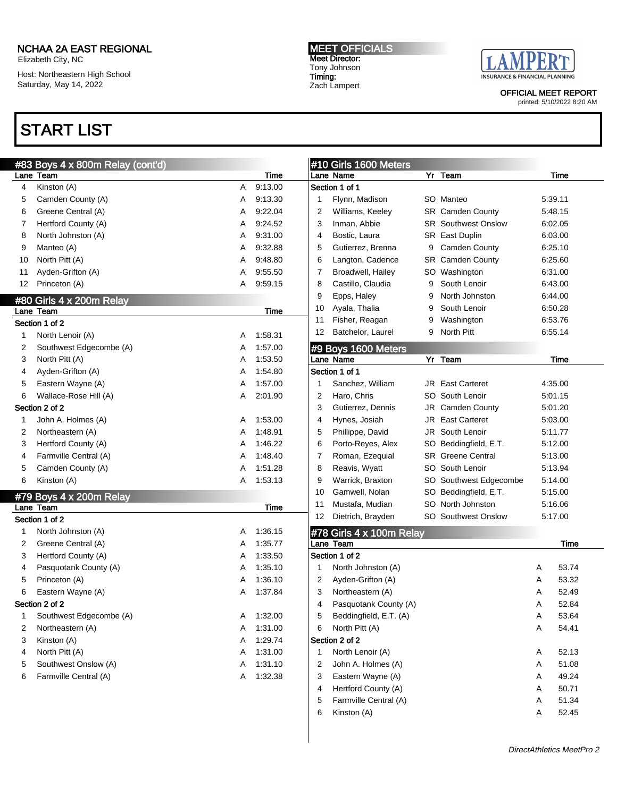Elizabeth City, NC

Host: Northeastern High School Saturday, May 14, 2022

# START LIST

MEET OFFICIALS Meet Director: Tony Johnson Timing: Zach Lampert



OFFICIAL MEET REPORT

|    | #83 Boys 4 x 800m Relay (cont'd) |   |         |    | #10 Girls 1600 Meters    |   |                            |   |         |
|----|----------------------------------|---|---------|----|--------------------------|---|----------------------------|---|---------|
|    | Lane Team                        |   | Time    |    | Lane Name                |   | Yr Team                    |   | Time    |
| 4  | Kinston (A)                      | Α | 9:13.00 |    | Section 1 of 1           |   |                            |   |         |
| 5  | Camden County (A)                | Α | 9:13.30 |    | Flynn, Madison           |   | SO Manteo                  |   | 5:39.11 |
| 6  | Greene Central (A)               | Α | 9:22.04 | 2  | Williams, Keeley         |   | SR Camden County           |   | 5:48.15 |
| 7  | Hertford County (A)              | Α | 9:24.52 | 3  | Inman, Abbie             |   | <b>SR</b> Southwest Onslow |   | 6:02.05 |
| 8  | North Johnston (A)               | Α | 9:31.00 | 4  | Bostic, Laura            |   | SR East Duplin             |   | 6:03.00 |
| 9  | Manteo (A)                       | Α | 9:32.88 | 5  | Gutierrez, Brenna        |   | 9 Camden County            |   | 6:25.10 |
| 10 | North Pitt (A)                   | Α | 9:48.80 | 6  | Langton, Cadence         |   | SR Camden County           |   | 6:25.60 |
| 11 | Ayden-Grifton (A)                | Α | 9:55.50 | 7  | Broadwell, Hailey        |   | SO Washington              |   | 6:31.00 |
| 12 | Princeton (A)                    | A | 9:59.15 | 8  | Castillo, Claudia        | 9 | South Lenoir               |   | 6:43.00 |
|    | #80 Girls 4 x 200m Relay         |   |         | 9  | Epps, Haley              | 9 | North Johnston             |   | 6:44.00 |
|    | Lane Team                        |   | Time    | 10 | Ayala, Thalia            | 9 | South Lenoir               |   | 6:50.28 |
|    | Section 1 of 2                   |   |         | 11 | Fisher, Reagan           | 9 | Washington                 |   | 6:53.76 |
| 1  | North Lenoir (A)                 | A | 1:58.31 | 12 | Batchelor, Laurel        |   | 9 North Pitt               |   | 6:55.14 |
| 2  | Southwest Edgecombe (A)          | Α | 1:57.00 |    | #9 Boys 1600 Meters      |   |                            |   |         |
| 3  | North Pitt (A)                   | Α | 1:53.50 |    | Lane Name                |   | Yr Team                    |   | Time    |
| 4  | Ayden-Grifton (A)                | Α | 1:54.80 |    | Section 1 of 1           |   |                            |   |         |
| 5  | Eastern Wayne (A)                | Α | 1:57.00 | 1  | Sanchez, William         |   | <b>JR</b> East Carteret    |   | 4:35.00 |
| 6  | Wallace-Rose Hill (A)            | Α | 2:01.90 | 2  | Haro, Chris              |   | SO South Lenoir            |   | 5:01.15 |
|    | Section 2 of 2                   |   |         | 3  | Gutierrez, Dennis        |   | JR Camden County           |   | 5:01.20 |
| 1  | John A. Holmes (A)               | A | 1:53.00 | 4  | Hynes, Josiah            |   | JR East Carteret           |   | 5:03.00 |
| 2  | Northeastern (A)                 | Α | 1:48.91 | 5  | Phillippe, David         |   | JR South Lenoir            |   | 5:11.77 |
| 3  | Hertford County (A)              | Α | 1:46.22 | 6  | Porto-Reyes, Alex        |   | SO Beddingfield, E.T.      |   | 5:12.00 |
| 4  | Farmville Central (A)            | Α | 1:48.40 | 7  | Roman, Ezequial          |   | <b>SR</b> Greene Central   |   | 5:13.00 |
| 5  | Camden County (A)                | Α | 1:51.28 | 8  | Reavis, Wyatt            |   | SO South Lenoir            |   | 5:13.94 |
| 6  | Kinston (A)                      | A | 1:53.13 | 9  | Warrick, Braxton         |   | SO Southwest Edgecombe     |   | 5:14.00 |
|    | #79 Boys 4 x 200m Relay          |   |         | 10 | Gamwell, Nolan           |   | SO Beddingfield, E.T.      |   | 5:15.00 |
|    | Lane Team                        |   | Time    | 11 | Mustafa, Mudian          |   | SO North Johnston          |   | 5:16.06 |
|    | Section 1 of 2                   |   |         | 12 | Dietrich, Brayden        |   | <b>SO</b> Southwest Onslow |   | 5:17.00 |
| 1  | North Johnston (A)               | Α | 1:36.15 |    | #78 Girls 4 x 100m Relay |   |                            |   |         |
| 2  | Greene Central (A)               | Α | 1:35.77 |    | Lane Team                |   |                            |   | Time    |
| 3  | Hertford County (A)              | Α | 1:33.50 |    | Section 1 of 2           |   |                            |   |         |
| 4  | Pasquotank County (A)            | Α | 1:35.10 |    | North Johnston (A)       |   |                            | A | 53.74   |
| 5  | Princeton (A)                    | Α | 1:36.10 | 2  | Ayden-Grifton (A)        |   |                            | Α | 53.32   |
| 6  | Eastern Wayne (A)                | Α | 1:37.84 | 3  | Northeastern (A)         |   |                            | A | 52.49   |
|    | Section 2 of 2                   |   |         | 4  | Pasquotank County (A)    |   |                            | Α | 52.84   |
| 1  | Southwest Edgecombe (A)          | A | 1:32.00 | 5  | Beddingfield, E.T. (A)   |   |                            | Α | 53.64   |
| 2  | Northeastern (A)                 | Α | 1:31.00 | 6  | North Pitt (A)           |   |                            | Α | 54.41   |
| 3  | Kinston (A)                      | A | 1:29.74 |    | Section 2 of 2           |   |                            |   |         |
| 4  | North Pitt (A)                   | A | 1:31.00 | 1  | North Lenoir (A)         |   |                            | A | 52.13   |
| 5  | Southwest Onslow (A)             | Α | 1:31.10 | 2  | John A. Holmes (A)       |   |                            | A | 51.08   |
| 6  | Farmville Central (A)            | Α | 1:32.38 | 3  | Eastern Wayne (A)        |   |                            | A | 49.24   |
|    |                                  |   |         | 4  | Hertford County (A)      |   |                            | Α | 50.71   |
|    |                                  |   |         | 5  | Farmville Central (A)    |   |                            | Α | 51.34   |
|    |                                  |   |         | 6  | Kinston (A)              |   |                            | Α | 52.45   |
|    |                                  |   |         |    |                          |   |                            |   |         |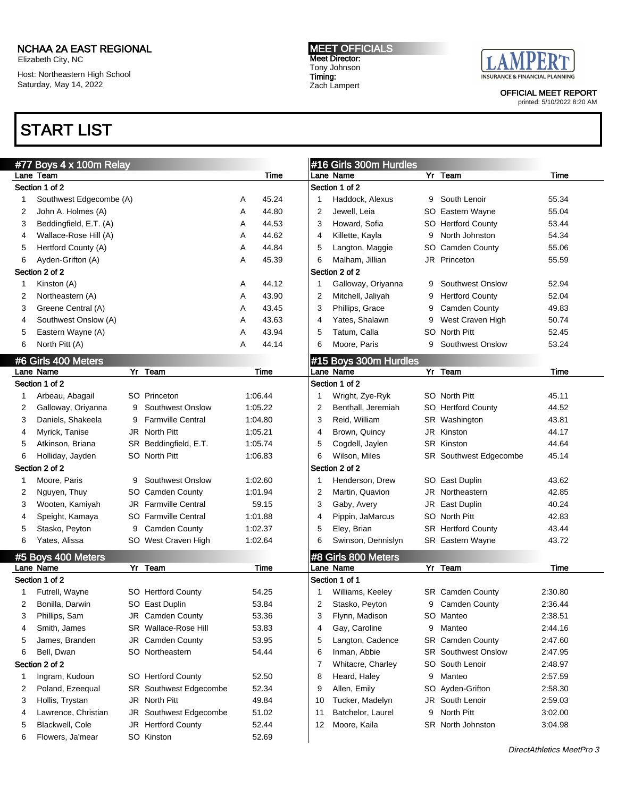Elizabeth City, NC

Host: Northeastern High School Saturday, May 14, 2022

# START LIST

MEET OFFICIALS Meet Director: Tony Johnson Timing: Zach Lampert



OFFICIAL MEET REPORT

|   | #77 Boys 4 x 100m Relay |   |                             |   |         |    | #16 Girls 300m Hurdles |   |                            |         |
|---|-------------------------|---|-----------------------------|---|---------|----|------------------------|---|----------------------------|---------|
|   | Lane Team               |   |                             |   | Time    |    | Lane Name              |   | Yr Team                    | Time    |
|   | Section 1 of 2          |   |                             |   |         |    | Section 1 of 2         |   |                            |         |
| 1 | Southwest Edgecombe (A) |   |                             | Α | 45.24   |    | Haddock, Alexus        |   | 9 South Lenoir             | 55.34   |
| 2 | John A. Holmes (A)      |   |                             | Α | 44.80   | 2  | Jewell, Leia           |   | SO Eastern Wayne           | 55.04   |
| 3 | Beddingfield, E.T. (A)  |   |                             | Α | 44.53   | 3  | Howard, Sofia          |   | SO Hertford County         | 53.44   |
| 4 | Wallace-Rose Hill (A)   |   |                             | Α | 44.62   | 4  | Killette, Kayla        | 9 | North Johnston             | 54.34   |
| 5 | Hertford County (A)     |   |                             | Α | 44.84   | 5  | Langton, Maggie        |   | SO Camden County           | 55.06   |
| 6 | Ayden-Grifton (A)       |   |                             | Α | 45.39   | 6  | Malham, Jillian        |   | JR Princeton               | 55.59   |
|   | Section 2 of 2          |   |                             |   |         |    | Section 2 of 2         |   |                            |         |
| 1 | Kinston (A)             |   |                             | Α | 44.12   | 1  | Galloway, Oriyanna     | 9 | <b>Southwest Onslow</b>    | 52.94   |
| 2 | Northeastern (A)        |   |                             | Α | 43.90   | 2  | Mitchell, Jaliyah      | 9 | <b>Hertford County</b>     | 52.04   |
| 3 | Greene Central (A)      |   |                             | Α | 43.45   | 3  | Phillips, Grace        | 9 | <b>Camden County</b>       | 49.83   |
| 4 | Southwest Onslow (A)    |   |                             | Α | 43.63   | 4  | Yates, Shalawn         | 9 | West Craven High           | 50.74   |
| 5 | Eastern Wayne (A)       |   |                             | Α | 43.94   | 5  | Tatum, Calla           |   | SO North Pitt              | 52.45   |
| 6 | North Pitt (A)          |   |                             | A | 44.14   | 6  | Moore, Paris           |   | 9 Southwest Onslow         | 53.24   |
|   | #6 Girls 400 Meters     |   |                             |   |         |    | #15 Boys 300m Hurdles  |   |                            |         |
|   | Lane Name               |   | Yr Team                     |   | Time    |    | Lane Name              |   | Yr Team                    | Time    |
|   | Section 1 of 2          |   |                             |   |         |    | Section 1 of 2         |   |                            |         |
| 1 | Arbeau, Abagail         |   | SO Princeton                |   | 1:06.44 | 1  | Wright, Zye-Ryk        |   | SO North Pitt              | 45.11   |
| 2 | Galloway, Oriyanna      |   | 9 Southwest Onslow          |   | 1:05.22 | 2  | Benthall, Jeremiah     |   | SO Hertford County         | 44.52   |
| 3 | Daniels, Shakeela       | 9 | <b>Farmville Central</b>    |   | 1:04.80 | 3  | Reid, William          |   | SR Washington              | 43.81   |
| 4 | Myrick, Tanise          |   | JR North Pitt               |   | 1:05.21 | 4  | Brown, Quincy          |   | JR Kinston                 | 44.17   |
| 5 | Atkinson, Briana        |   | SR Beddingfield, E.T.       |   | 1:05.74 | 5  | Cogdell, Jaylen        |   | SR Kinston                 | 44.64   |
| 6 | Holliday, Jayden        |   | SO North Pitt               |   | 1:06.83 | 6  | Wilson, Miles          |   | SR Southwest Edgecombe     | 45.14   |
|   | Section 2 of 2          |   |                             |   |         |    | Section 2 of 2         |   |                            |         |
| 1 | Moore, Paris            |   | 9 Southwest Onslow          |   | 1:02.60 | 1  | Henderson, Drew        |   | SO East Duplin             | 43.62   |
| 2 | Nguyen, Thuy            |   | SO Camden County            |   | 1:01.94 | 2  | Martin, Quavion        |   | JR Northeastern            | 42.85   |
| 3 | Wooten, Kamiyah         |   | <b>JR</b> Farmville Central |   | 59.15   | 3  | Gaby, Avery            |   | JR East Duplin             | 40.24   |
| 4 | Speight, Kamaya         |   | SO Farmville Central        |   | 1:01.88 | 4  | Pippin, JaMarcus       |   | SO North Pitt              | 42.83   |
| 5 | Stasko, Peyton          |   | 9 Camden County             |   | 1:02.37 | 5  | Eley, Brian            |   | <b>SR</b> Hertford County  | 43.44   |
| 6 | Yates, Alissa           |   | SO West Craven High         |   | 1:02.64 | 6  | Swinson, Dennislyn     |   | SR Eastern Wayne           | 43.72   |
|   |                         |   |                             |   |         |    |                        |   |                            |         |
|   | #5 Boys 400 Meters      |   |                             |   |         |    | #8 Girls 800 Meters    |   |                            |         |
|   | Lane Name               |   | Yr Team                     |   | Time    |    | Lane Name              |   | Yr Team                    | Time    |
|   | Section 1 of 2          |   |                             |   |         |    | Section 1 of 1         |   |                            |         |
| 1 | Futrell, Wayne          |   | SO Hertford County          |   | 54.25   |    | Williams, Keeley       |   | SR Camden County           | 2:30.80 |
| 2 | Bonilla, Darwin         |   | SO East Duplin              |   | 53.84   | 2  | Stasko, Peyton         |   | 9 Camden County            | 2:36.44 |
| 3 | Phillips, Sam           |   | JR Camden County            |   | 53.36   | 3  | Flynn, Madison         |   | SO Manteo                  | 2:38.51 |
| 4 | Smith, James            |   | SR Wallace-Rose Hill        |   | 53.83   | 4  | Gay, Caroline          |   | 9 Manteo                   | 2:44.16 |
| 5 | James, Branden          |   | JR Camden County            |   | 53.95   | 5  | Langton, Cadence       |   | <b>SR</b> Camden County    | 2:47.60 |
| 6 | Bell, Dwan              |   | SO Northeastern             |   | 54.44   | 6  | Inman, Abbie           |   | <b>SR</b> Southwest Onslow | 2:47.95 |
|   | Section 2 of 2          |   |                             |   |         | 7  | Whitacre, Charley      |   | SO South Lenoir            | 2:48.97 |
| 1 | Ingram, Kudoun          |   | SO Hertford County          |   | 52.50   | 8  | Heard, Haley           |   | 9 Manteo                   | 2:57.59 |
| 2 | Poland, Ezeequal        |   | SR Southwest Edgecombe      |   | 52.34   | 9  | Allen, Emily           |   | SO Ayden-Grifton           | 2:58.30 |
| 3 | Hollis, Trystan         |   | JR North Pitt               |   | 49.84   | 10 | Tucker, Madelyn        |   | JR South Lenoir            | 2:59.03 |
| 4 | Lawrence, Christian     |   | JR Southwest Edgecombe      |   | 51.02   | 11 | Batchelor, Laurel      | 9 | North Pitt                 | 3:02.00 |
| 5 | Blackwell, Cole         |   | JR Hertford County          |   | 52.44   | 12 | Moore, Kaila           |   | <b>SR</b> North Johnston   | 3:04.98 |
| 6 | Flowers, Ja'mear        |   | SO Kinston                  |   | 52.69   |    |                        |   |                            |         |
|   |                         |   |                             |   |         |    |                        |   |                            |         |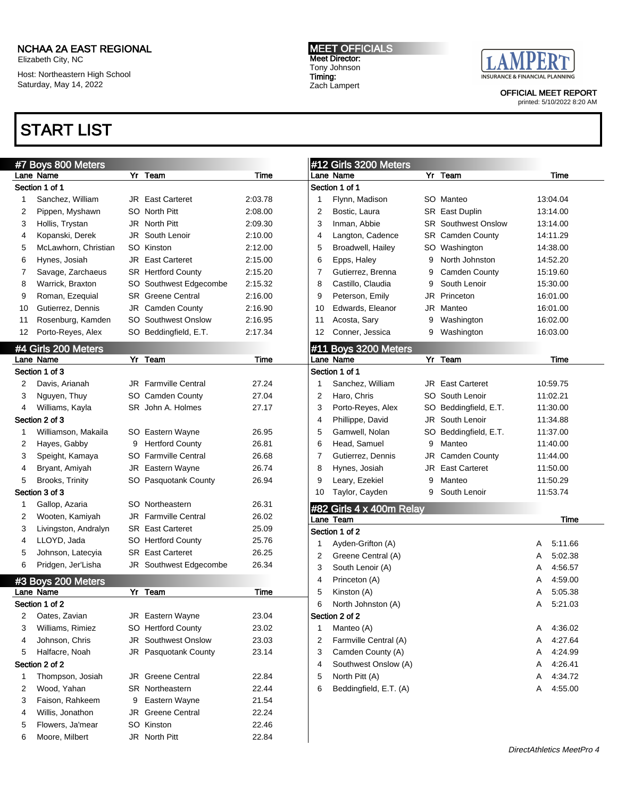Moore, Milbert JR North Pitt 22.84

Elizabeth City, NC

Host: Northeastern High School Saturday, May 14, 2022

### START LIST

MEET OFFICIALS Meet Director: Tony Johnson Timing: Zach Lampert



OFFICIAL MEET REPORT

|    | #7 Boys 800 Meters   |   |                             |         |    | #12 Girls 3200 Meters                 |   |                            |   |          |
|----|----------------------|---|-----------------------------|---------|----|---------------------------------------|---|----------------------------|---|----------|
|    | Lane Name            |   | Yr Team                     | Time    |    | Lane Name                             |   | Yr Team                    |   | Time     |
|    | Section 1 of 1       |   |                             |         |    | Section 1 of 1                        |   |                            |   |          |
| 1  | Sanchez, William     |   | <b>JR</b> East Carteret     | 2:03.78 | 1  | Flynn, Madison                        |   | SO Manteo                  |   | 13:04.04 |
| 2  | Pippen, Myshawn      |   | SO North Pitt               | 2:08.00 | 2  | Bostic, Laura                         |   | SR East Duplin             |   | 13:14.00 |
| 3  | Hollis, Trystan      |   | JR North Pitt               | 2:09.30 | 3  | Inman, Abbie                          |   | <b>SR</b> Southwest Onslow |   | 13:14.00 |
| 4  | Kopanski, Derek      |   | <b>JR</b> South Lenoir      | 2:10.00 | 4  | Langton, Cadence                      |   | <b>SR</b> Camden County    |   | 14:11.29 |
| 5  | McLawhorn, Christian |   | SO Kinston                  | 2:12.00 | 5  | Broadwell, Hailey                     |   | SO Washington              |   | 14:38.00 |
| 6  | Hynes, Josiah        |   | <b>JR</b> East Carteret     | 2:15.00 | 6  | Epps, Haley                           | 9 | North Johnston             |   | 14:52.20 |
| 7  | Savage, Zarchaeus    |   | <b>SR</b> Hertford County   | 2:15.20 | 7  | Gutierrez, Brenna                     | 9 | <b>Camden County</b>       |   | 15:19.60 |
| 8  | Warrick, Braxton     |   | SO Southwest Edgecombe      | 2:15.32 | 8  | Castillo, Claudia                     | 9 | South Lenoir               |   | 15:30.00 |
| 9  | Roman, Ezequial      |   | <b>SR</b> Greene Central    | 2:16.00 | 9  | Peterson, Emily                       |   | JR Princeton               |   | 16:01.00 |
| 10 | Gutierrez, Dennis    |   | JR Camden County            | 2:16.90 | 10 | Edwards, Eleanor                      |   | JR Manteo                  |   | 16:01.00 |
| 11 | Rosenburg, Kamden    |   | <b>SO</b> Southwest Onslow  | 2:16.95 | 11 | Acosta, Sary                          | 9 | Washington                 |   | 16:02.00 |
| 12 | Porto-Reyes, Alex    |   | SO Beddingfield, E.T.       | 2:17.34 | 12 | Conner, Jessica                       | 9 | Washington                 |   | 16:03.00 |
|    | #4 Girls 200 Meters  |   |                             |         |    | #11 Boys 3200 Meters                  |   |                            |   |          |
|    | Lane Name            |   | Yr Team                     | Time    |    | Lane Name                             |   | Yr Team                    |   | Time     |
|    | Section 1 of 3       |   |                             |         |    | Section 1 of 1                        |   |                            |   |          |
| 2  | Davis, Arianah       |   | <b>JR</b> Farmville Central | 27.24   | 1  | Sanchez, William                      |   | <b>JR</b> East Carteret    |   | 10:59.75 |
| 3  | Nguyen, Thuy         |   | SO Camden County            | 27.04   | 2  | Haro, Chris                           |   | SO South Lenoir            |   | 11:02.21 |
| 4  | Williams, Kayla      |   | SR John A. Holmes           | 27.17   | 3  | Porto-Reyes, Alex                     |   | SO Beddingfield, E.T.      |   | 11:30.00 |
|    | Section 2 of 3       |   |                             |         | 4  | Phillippe, David                      |   | JR South Lenoir            |   | 11:34.88 |
| 1  | Williamson, Makaila  |   | SO Eastern Wayne            | 26.95   | 5  | Gamwell, Nolan                        |   | SO Beddingfield, E.T.      |   | 11:37.00 |
| 2  | Hayes, Gabby         | 9 | <b>Hertford County</b>      | 26.81   | 6  | Head, Samuel                          | 9 | Manteo                     |   | 11:40.00 |
| 3  | Speight, Kamaya      |   | <b>SO</b> Farmville Central | 26.68   | 7  | Gutierrez, Dennis                     |   | JR Camden County           |   | 11:44.00 |
| 4  | Bryant, Amiyah       |   | JR Eastern Wayne            | 26.74   | 8  | Hynes, Josiah                         |   | <b>JR</b> East Carteret    |   | 11:50.00 |
| 5  | Brooks, Trinity      |   | SO Pasquotank County        | 26.94   | 9  | Leary, Ezekiel                        | 9 | Manteo                     |   | 11:50.29 |
|    | Section 3 of 3       |   |                             |         | 10 | Taylor, Cayden                        | 9 | South Lenoir               |   | 11:53.74 |
| 1  | Gallop, Azaria       |   | SO Northeastern             | 26.31   |    |                                       |   |                            |   |          |
| 2  | Wooten, Kamiyah      |   | <b>JR</b> Farmville Central | 26.02   |    | #82 Girls 4 x 400m Relay<br>Lane Team |   |                            |   | Time     |
| 3  | Livingston, Andralyn |   | <b>SR</b> East Carteret     | 25.09   |    | Section 1 of 2                        |   |                            |   |          |
| 4  | LLOYD, Jada          |   | SO Hertford County          | 25.76   | 1  | Ayden-Grifton (A)                     |   |                            | A | 5:11.66  |
| 5  | Johnson, Latecyia    |   | <b>SR</b> East Carteret     | 26.25   | 2  | Greene Central (A)                    |   |                            | A | 5:02.38  |
| 6  | Pridgen, Jer'Lisha   |   | JR Southwest Edgecombe      | 26.34   | 3  | South Lenoir (A)                      |   |                            | A | 4:56.57  |
|    | #3 Boys 200 Meters   |   |                             |         | 4  | Princeton (A)                         |   |                            | A | 4:59.00  |
|    | Lane Name            |   | Yr Team                     | Time    | 5  | Kinston (A)                           |   |                            | Α | 5:05.38  |
|    | Section 1 of 2       |   |                             |         | 6  | North Johnston (A)                    |   |                            | Α | 5:21.03  |
| 2  | Oates, Zavian        |   | JR Eastern Wayne            | 23.04   |    | Section 2 of 2                        |   |                            |   |          |
| 3  | Williams, Rimiez     |   | SO Hertford County          | 23.02   | 1  | Manteo (A)                            |   |                            | A | 4:36.02  |
| 4  | Johnson, Chris       |   | <b>JR</b> Southwest Onslow  | 23.03   | 2  | Farmville Central (A)                 |   |                            | A | 4:27.64  |
| 5  | Halfacre, Noah       |   | JR Pasquotank County        | 23.14   | 3  | Camden County (A)                     |   |                            | Α | 4:24.99  |
|    | Section 2 of 2       |   |                             |         | 4  | Southwest Onslow (A)                  |   |                            | Α | 4:26.41  |
| 1  | Thompson, Josiah     |   | <b>JR</b> Greene Central    | 22.84   | 5  | North Pitt (A)                        |   |                            | Α | 4:34.72  |
| 2  | Wood, Yahan          |   | <b>SR</b> Northeastern      | 22.44   | 6  | Beddingfield, E.T. (A)                |   |                            | Α | 4:55.00  |
| 3  | Faison, Rahkeem      | 9 | Eastern Wayne               | 21.54   |    |                                       |   |                            |   |          |
| 4  | Willis, Jonathon     |   | JR Greene Central           | 22.24   |    |                                       |   |                            |   |          |
| 5  | Flowers, Ja'mear     |   | SO Kinston                  | 22.46   |    |                                       |   |                            |   |          |
|    |                      |   |                             |         |    |                                       |   |                            |   |          |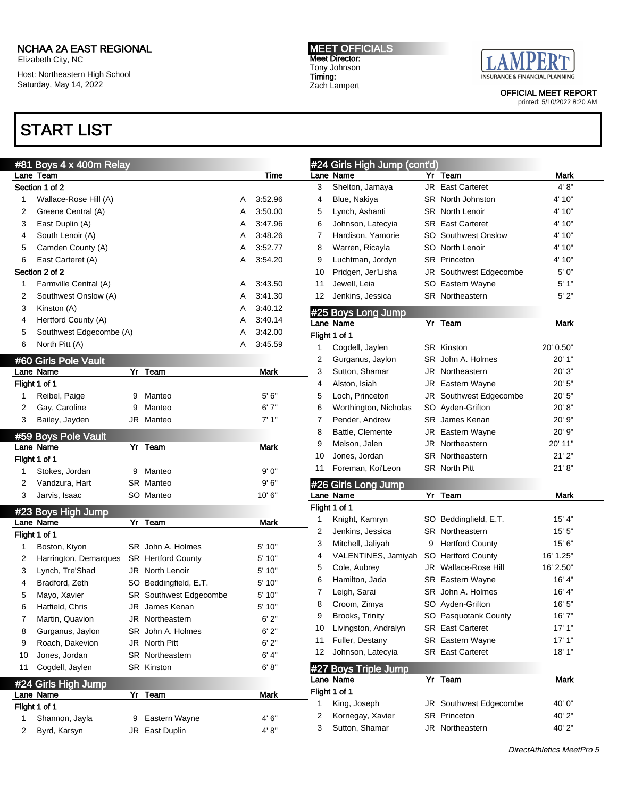Elizabeth City, NC

Host: Northeastern High School Saturday, May 14, 2022

# START LIST

MEET OFFICIALS Meet Director: Tony Johnson Timing: Zach Lampert



OFFICIAL MEET REPORT

|    | #81 Boys 4 x 400m Relay |   |                           |   |             |    | #24 Girls Hig |
|----|-------------------------|---|---------------------------|---|-------------|----|---------------|
|    | Lane Team               |   |                           |   | Time        |    | Lane Name     |
|    | Section 1 of 2          |   |                           |   |             | 3  | Shelton, J    |
| 1  | Wallace-Rose Hill (A)   |   |                           | Α | 3:52.96     | 4  | Blue, Naki    |
| 2  | Greene Central (A)      |   |                           | Α | 3:50.00     | 5  | Lynch, Asl    |
| 3  | East Duplin (A)         |   |                           | A | 3:47.96     | 6  | Johnson, I    |
| 4  | South Lenoir (A)        |   |                           | A | 3:48.26     | 7  | Hardison,     |
| 5  | Camden County (A)       |   |                           | Α | 3:52.77     | 8  | Warren, R     |
| 6  | East Carteret (A)       |   |                           | A | 3:54.20     | 9  | Luchtman.     |
|    | Section 2 of 2          |   |                           |   |             | 10 | Pridgen, J    |
| 1  | Farmville Central (A)   |   |                           | Α | 3:43.50     | 11 | Jewell, Le    |
| 2  | Southwest Onslow (A)    |   |                           | Α | 3:41.30     | 12 | Jenkins, J    |
| 3  | Kinston (A)             |   |                           | A | 3:40.12     |    | #25 Boys Lor  |
| 4  | Hertford County (A)     |   |                           | A | 3:40.14     |    | Lane Name     |
| 5  | Southwest Edgecombe (A) |   |                           | Α | 3:42.00     |    | Flight 1 of 1 |
| 6  | North Pitt (A)          |   |                           | Α | 3:45.59     | 1  | Cogdell, J.   |
|    | #60 Girls Pole Vault    |   |                           |   |             | 2  | Gurganus      |
|    | Lane Name               |   | Yr Team                   |   | <b>Mark</b> | 3  | Sutton, Sh    |
|    | Flight 1 of 1           |   |                           |   |             | 4  | Alston, Isia  |
| 1  | Reibel, Paige           | 9 | Manteo                    |   | 5'6''       | 5  | Loch, Prin    |
| 2  | Gay, Caroline           | 9 | Manteo                    |   | 6'7''       | 6  | Worthingto    |
| 3  | Bailey, Jayden          |   | JR Manteo                 |   | 7' 1"       | 7  | Pender, A     |
|    |                         |   |                           |   |             | 8  | Battle, Cle   |
|    | #59 Boys Pole Vault     |   |                           |   |             | 9  | Melson, Ja    |
|    | Lane Name               |   | Yr Team                   |   | Mark        | 10 | Jones, Jor    |
|    | Flight 1 of 1           |   |                           |   |             | 11 | Foreman,      |
| 1  | Stokes, Jordan          | 9 | Manteo                    |   | 9' 0"       |    |               |
| 2  | Vandzura, Hart          |   | SR Manteo                 |   | 9'6''       |    | #26 Girls Lor |
| 3  | Jarvis, Isaac           |   | SO Manteo                 |   | 10'6''      |    | Lane Name     |
|    | #23 Boys High Jump      |   |                           |   |             |    | Flight 1 of 1 |
|    | Lane Name               |   | Yr Team                   |   | <b>Mark</b> | 1  | Knight, Ka    |
|    | Flight 1 of 1           |   |                           |   |             | 2  | Jenkins, J    |
| 1  | Boston, Kiyon           |   | SR John A. Holmes         |   | 5' 10"      | 3  | Mitchell, J   |
| 2  | Harrington, Demarques   |   | <b>SR</b> Hertford County |   | 5' 10"      | 4  | VALENTIN      |
| 3  | Lynch, Tre'Shad         |   | JR North Lenoir           |   | 5' 10"      | 5  | Cole, Aub     |
| 4  | Bradford, Zeth          |   | SO Beddingfield, E.T.     |   | 5' 10"      | 6  | Hamilton,     |
| 5  | Mayo, Xavier            |   | SR Southwest Edgecombe    |   | 5' 10"      | 7  | Leigh, Sar    |
| 6  | Hatfield, Chris         |   | JR James Kenan            |   | 5' 10"      | 8  | Croom, Zi     |
| 7  | Martin, Quavion         |   | JR Northeastern           |   | 6' 2"       | 9  | Brooks, Tr    |
| 8  | Gurganus, Jaylon        |   | SR John A. Holmes         |   | 6'2"        | 10 | Livingston    |
| 9  | Roach, Dakevion         |   | JR North Pitt             |   | 6'2"        | 11 | Fuller, Des   |
| 10 | Jones, Jordan           |   | SR Northeastern           |   | 6' 4"       | 12 | Johnson, I    |
| 11 | Cogdell, Jaylen         |   | <b>SR Kinston</b>         |   | 6' 8''      |    | #27 Boys Tri  |
|    | #24 Girls High Jump     |   |                           |   |             |    | Lane Name     |
|    | Lane Name               |   | Yr Team                   |   | Mark        |    | Flight 1 of 1 |
|    | Flight 1 of 1           |   |                           |   |             | 1  | King, Jose    |
| 1  | Shannon, Jayla          | 9 | Eastern Wayne             |   | 4' 6"       | 2  | Kornegay,     |
| 2  | Byrd, Karsyn            |   | JR East Duplin            |   | 4'8"        | 3  | Sutton, Sh    |
|    |                         |   |                           |   |             |    |               |

| Lane Name     | #24 Girls High Jump (cont'd)           |    | Yr Team                    | Mark        |
|---------------|----------------------------------------|----|----------------------------|-------------|
| 3             | Shelton, Jamaya                        |    | <b>JR</b> East Carteret    | 4' 8''      |
| 4             | Blue, Nakiya                           |    | <b>SR</b> North Johnston   | 4' 10"      |
| 5             | Lynch, Ashanti                         |    | <b>SR</b> North Lenoir     | 4' 10"      |
| 6             | Johnson, Latecyia                      |    | <b>SR</b> East Carteret    | 4' 10"      |
| 7             | Hardison, Yamorie                      |    | <b>SO</b> Southwest Onslow | 4' 10"      |
| 8             | Warren, Ricayla                        |    | SO North Lenoir            | 4' 10"      |
| 9             | Luchtman, Jordyn                       |    | <b>SR</b> Princeton        | 4' 10"      |
| 10            | Pridgen, Jer'Lisha                     |    | JR Southwest Edgecombe     | 5' 0"       |
| 11            | Jewell, Leia                           |    | SO Eastern Wayne           | 5'1"        |
| 12            | Jenkins, Jessica                       |    | <b>SR</b> Northeastern     | 5'2"        |
|               |                                        |    |                            |             |
| Lane Name     | #25 Boys Long Jump                     | YΓ | Team                       | Mark        |
| Flight 1 of 1 |                                        |    |                            |             |
| 1             | Cogdell, Jaylen                        |    | SR Kinston                 | 20' 0.50"   |
| 2             | Gurganus, Jaylon                       |    | SR John A. Holmes          | 20' 1"      |
| 3             | Sutton, Shamar                         |    | JR Northeastern            | 20' 3"      |
| 4             | Alston, Isiah                          |    | <b>JR</b> Eastern Wayne    | 20' 5"      |
| 5             | Loch, Princeton                        |    | JR Southwest Edgecombe     | 20' 5"      |
| 6             | Worthington, Nicholas                  |    | SO Ayden-Grifton           | 20'8"       |
| 7             | Pender, Andrew                         |    | <b>SR</b> James Kenan      | 20' 9"      |
| 8             | Battle, Clemente                       |    | <b>JR</b> Eastern Wayne    | 20'9"       |
| 9             | Melson, Jalen                          |    | JR Northeastern            | 20' 11"     |
| 10            | Jones, Jordan                          |    | <b>SR</b> Northeastern     | 21'2"       |
| 11            | Foreman, Koi'Leon                      |    | <b>SR</b> North Pitt       | 21'8"       |
|               |                                        |    |                            |             |
|               | #26 Girls Long Jump                    |    |                            |             |
| Lane Name     |                                        |    | Yr Team                    | Mark        |
| Flight 1 of 1 |                                        |    |                            |             |
| 1             | Knight, Kamryn                         |    | SO Beddingfield, E.T.      | 15' 4"      |
| 2             | Jenkins, Jessica                       |    | <b>SR</b> Northeastern     | 15'5''      |
| 3             | Mitchell, Jaliyah                      | 9  | <b>Hertford County</b>     | 15' 6"      |
| 4             | VALENTINES, Jamiyah SO Hertford County |    |                            | 16' 1.25"   |
| 5             | Cole, Aubrey                           |    | JR Wallace-Rose Hill       | 16' 2.50"   |
| 6             | Hamilton, Jada                         |    | <b>SR</b> Eastern Wayne    | 16' 4"      |
| 7             | Leigh, Sarai                           |    | SR John A. Holmes          | 16' 4"      |
| ୪             | Croom, Zimya                           |    | SO Ayden-Grifton           | 16'5''      |
| 9             | Brooks, Trinity                        |    | SO Pasquotank County       | 16'7"       |
| 10            | Livingston, Andralyn                   |    | <b>SR</b> East Carteret    | 17'1"       |
| 11            | Fuller, Destany                        |    | SR Eastern Wayne           | 17'1"       |
| 12            | Johnson, Latecyia                      |    | <b>SR</b> East Carteret    | 18' 1"      |
| #27           | <b>Boys Triple Jump</b>                |    |                            |             |
| Lane Name     |                                        | Yr | Team                       | <b>Mark</b> |
| Flight 1 of 1 |                                        |    |                            |             |
| 1             | King, Joseph                           |    | JR Southwest Edgecombe     | 40'0"       |
| 2             | Kornegay, Xavier                       |    | <b>SR</b> Princeton        | 40'2"       |
| 3             | Sutton, Shamar                         |    | JR Northeastern            | 40' 2"      |